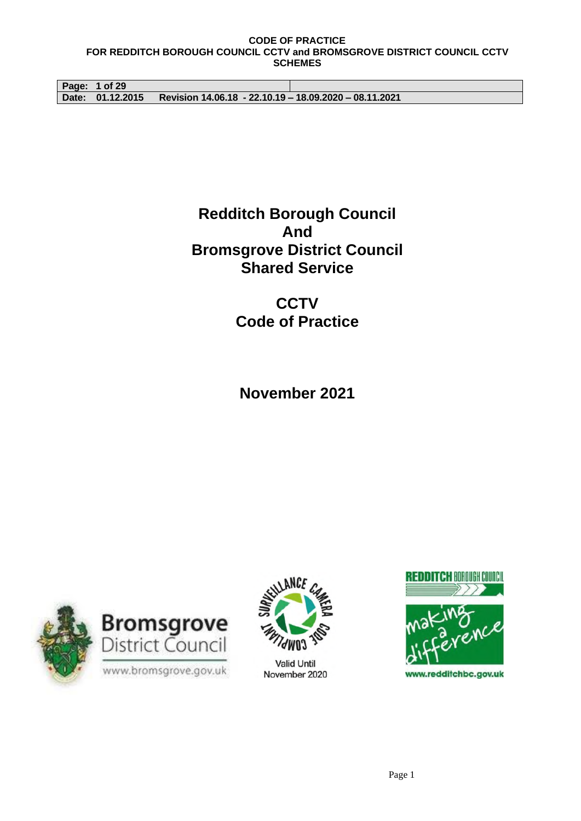**Page: 1 of 29 Date: 01.12.2015 Revision 14.06.18 - 22.10.19 – 18.09.2020 – 08.11.2021**

# **Redditch Borough Council And Bromsgrove District Council Shared Service**

**CCTV Code of Practice**

**November 2021**





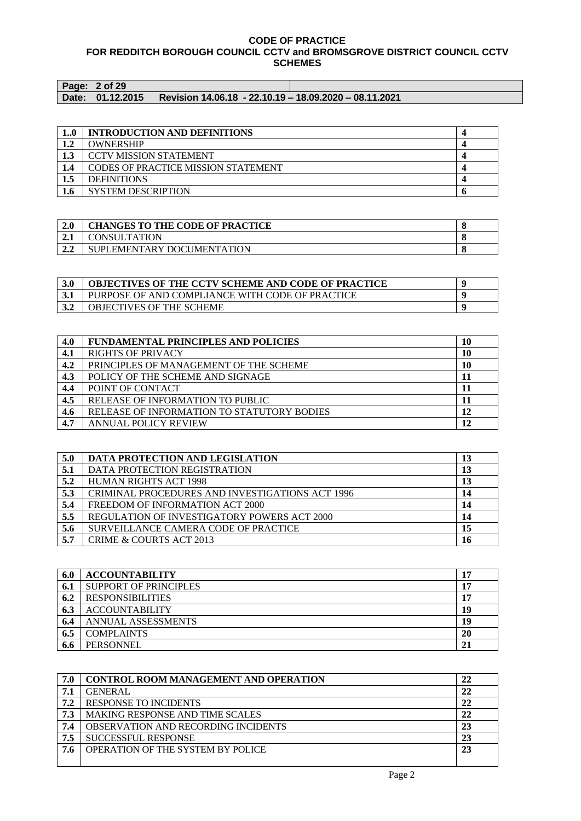| Page: 2 of 29    |                                                        |  |
|------------------|--------------------------------------------------------|--|
| Date: 01.12.2015 | Revision 14.06.18 - 22.10.19 - 18.09.2020 - 08.11.2021 |  |

| 10              | <b>INTRODUCTION AND DEFINITIONS</b> |  |
|-----------------|-------------------------------------|--|
| 12<br>          | <b>OWNERSHIP</b>                    |  |
| $\mathbf{I}$    | <b>CCTV MISSION STATEMENT</b>       |  |
| 1.4             | CODES OF PRACTICE MISSION STATEMENT |  |
| 1.5             | <b>DEFINITIONS</b>                  |  |
| .6 <sub>1</sub> | <b>SYSTEM DESCRIPTION</b>           |  |

| $\sim$ $\sim$ | <b>CHANGES TO THE CODE OF PRACTICE</b> |  |
|---------------|----------------------------------------|--|
| 4. L          | CONSULTATION                           |  |
| 4.A           | SUPLEMENTARY DOCUMENTATION             |  |

| <b>OBJECTIVES OF THE CCTV SCHEME AND CODE OF PRACTICE</b> |  |
|-----------------------------------------------------------|--|
| PURPOSE OF AND COMPLIANCE WITH CODE OF PRACTICE           |  |
| OBJECTIVES OF THE SCHEME                                  |  |

| 4.0 | <b>FUNDAMENTAL PRINCIPLES AND POLICIES</b> | 10 |
|-----|--------------------------------------------|----|
| 4.1 | <b>RIGHTS OF PRIVACY</b>                   | 10 |
| 4.2 | PRINCIPLES OF MANAGEMENT OF THE SCHEME     | 10 |
| 4.3 | POLICY OF THE SCHEME AND SIGNAGE           |    |
| 4.4 | POINT OF CONTACT                           |    |
| 4.5 | RELEASE OF INFORMATION TO PUBLIC           |    |
| 4.6 | RELEASE OF INFORMATION TO STATUTORY BODIES | 12 |
| 4.7 | <b>ANNUAL POLICY REVIEW</b>                |    |

| 5.0 | <b>DATA PROTECTION AND LEGISLATION</b>                 | 13 |
|-----|--------------------------------------------------------|----|
| 5.1 | DATA PROTECTION REGISTRATION                           | 13 |
| 5.2 | <b>HUMAN RIGHTS ACT 1998</b>                           | 13 |
| 5.3 | <b>CRIMINAL PROCEDURES AND INVESTIGATIONS ACT 1996</b> | 14 |
| 5.4 | FREEDOM OF INFORMATION ACT 2000                        | 14 |
| 5.5 | <b>REGULATION OF INVESTIGATORY POWERS ACT 2000</b>     | 14 |
| 5.6 | SURVEILLANCE CAMERA CODE OF PRACTICE                   | 15 |
| 5.7 | <b>CRIME &amp; COURTS ACT 2013</b>                     | 16 |

| 6.0 | <b>ACCOUNTABILITY</b>        | 17 |
|-----|------------------------------|----|
| 6.1 | <b>SUPPORT OF PRINCIPLES</b> | 17 |
| 6.2 | <b>RESPONSIBILITIES</b>      | 17 |
| 6.3 | <b>ACCOUNTABILITY</b>        | 19 |
| 6.4 | ANNUAL ASSESSMENTS           | 19 |
| 6.5 | <b>COMPLAINTS</b>            | 20 |
| 6.6 | <b>PERSONNEL</b>             | 21 |

| 7.0 | <b>CONTROL ROOM MANAGEMENT AND OPERATION</b> | 22 |
|-----|----------------------------------------------|----|
| 7.1 | <b>GENERAL</b>                               | 22 |
| 7.2 | <b>RESPONSE TO INCIDENTS</b>                 | 22 |
| 7.3 | <b>MAKING RESPONSE AND TIME SCALES</b>       | 22 |
|     | OBSERVATION AND RECORDING INCIDENTS          | 23 |
| 7.5 | <b>SUCCESSFUL RESPONSE</b>                   | 23 |
| 7.6 | OPERATION OF THE SYSTEM BY POLICE            | 23 |
|     |                                              |    |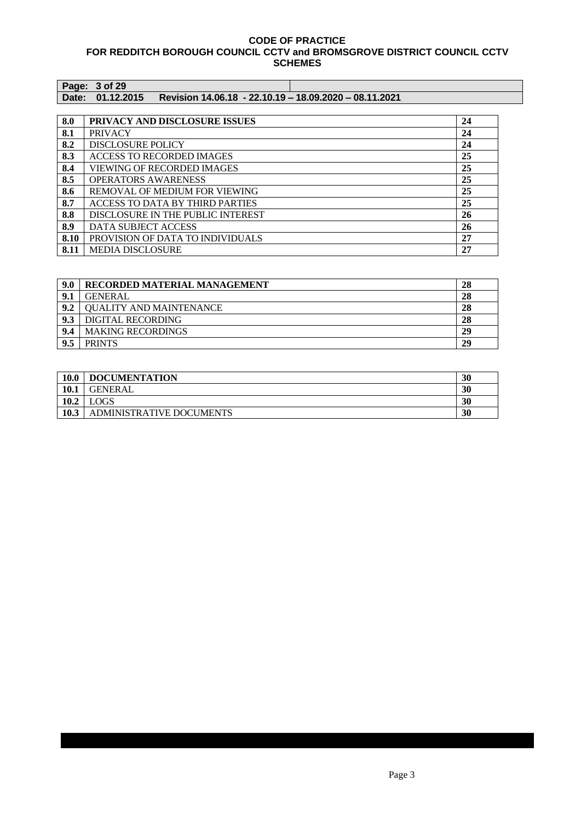| Page: 3 of 29    |                                                        |  |
|------------------|--------------------------------------------------------|--|
| Date: 01.12.2015 | Revision 14.06.18 - 22.10.19 - 18.09.2020 - 08.11.2021 |  |

| 8.0  | PRIVACY AND DISCLOSURE ISSUES     | 24 |
|------|-----------------------------------|----|
| 8.1  | <b>PRIVACY</b>                    | 24 |
| 8.2  | <b>DISCLOSURE POLICY</b>          | 24 |
| 8.3  | <b>ACCESS TO RECORDED IMAGES</b>  | 25 |
| 8.4  | <b>VIEWING OF RECORDED IMAGES</b> | 25 |
| 8.5  | <b>OPERATORS AWARENESS</b>        | 25 |
| 8.6  | REMOVAL OF MEDIUM FOR VIEWING     | 25 |
| 8.7  | ACCESS TO DATA BY THIRD PARTIES   | 25 |
| 8.8  | DISCLOSURE IN THE PUBLIC INTEREST | 26 |
| 8.9  | <b>DATA SUBJECT ACCESS</b>        | 26 |
| 8.10 | PROVISION OF DATA TO INDIVIDUALS  | 27 |
| 8.11 | <b>MEDIA DISCLOSURE</b>           | 27 |

| 9.0  | <b>RECORDED MATERIAL MANAGEMENT</b> | 28 |
|------|-------------------------------------|----|
|      | <b>GENERAL</b>                      | 28 |
| 9.2  | <b>OUALITY AND MAINTENANCE</b>      | 28 |
| -9.3 | DIGITAL RECORDING                   | 28 |
| 9.4  | <b>MAKING RECORDINGS</b>            | 29 |
|      | <b>PRINTS</b>                       | 29 |

| <b>10.0</b> | <b>DOCUMENTATION</b>     | 30 |
|-------------|--------------------------|----|
| <b>10.1</b> | <b>GENERAL</b>           | 30 |
| 10.2        | <b>LOGS</b>              | 30 |
| 10.3        | ADMINISTRATIVE DOCUMENTS | 30 |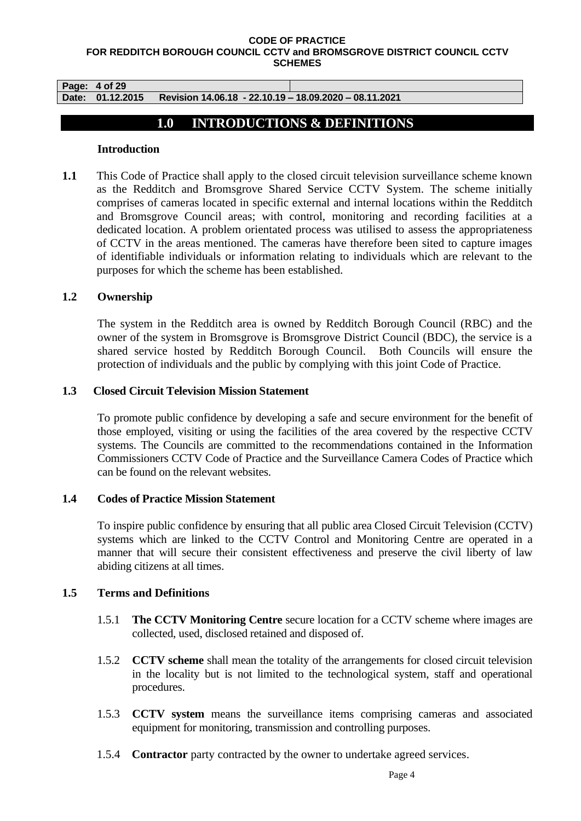**Page: 4 of 29** 

**Date: 01.12.2015 Revision 14.06.18 - 22.10.19 – 18.09.2020 – 08.11.2021**

# **1.0 INTRODUCTIONS & DEFINITIONS**

## **Introduction**

**1.1** This Code of Practice shall apply to the closed circuit television surveillance scheme known as the Redditch and Bromsgrove Shared Service CCTV System. The scheme initially comprises of cameras located in specific external and internal locations within the Redditch and Bromsgrove Council areas; with control, monitoring and recording facilities at a dedicated location. A problem orientated process was utilised to assess the appropriateness of CCTV in the areas mentioned. The cameras have therefore been sited to capture images of identifiable individuals or information relating to individuals which are relevant to the purposes for which the scheme has been established.

## **1.2 Ownership**

The system in the Redditch area is owned by Redditch Borough Council (RBC) and the owner of the system in Bromsgrove is Bromsgrove District Council (BDC), the service is a shared service hosted by Redditch Borough Council. Both Councils will ensure the protection of individuals and the public by complying with this joint Code of Practice.

## **1.3 Closed Circuit Television Mission Statement**

To promote public confidence by developing a safe and secure environment for the benefit of those employed, visiting or using the facilities of the area covered by the respective CCTV systems. The Councils are committed to the recommendations contained in the Information Commissioners CCTV Code of Practice and the Surveillance Camera Codes of Practice which can be found on the relevant websites.

## **1.4 Codes of Practice Mission Statement**

To inspire public confidence by ensuring that all public area Closed Circuit Television (CCTV) systems which are linked to the CCTV Control and Monitoring Centre are operated in a manner that will secure their consistent effectiveness and preserve the civil liberty of law abiding citizens at all times.

## **1.5 Terms and Definitions**

- 1.5.1 **The CCTV Monitoring Centre** secure location for a CCTV scheme where images are collected, used, disclosed retained and disposed of.
- 1.5.2 **CCTV scheme** shall mean the totality of the arrangements for closed circuit television in the locality but is not limited to the technological system, staff and operational procedures.
- 1.5.3 **CCTV system** means the surveillance items comprising cameras and associated equipment for monitoring, transmission and controlling purposes.
- 1.5.4 **Contractor** party contracted by the owner to undertake agreed services.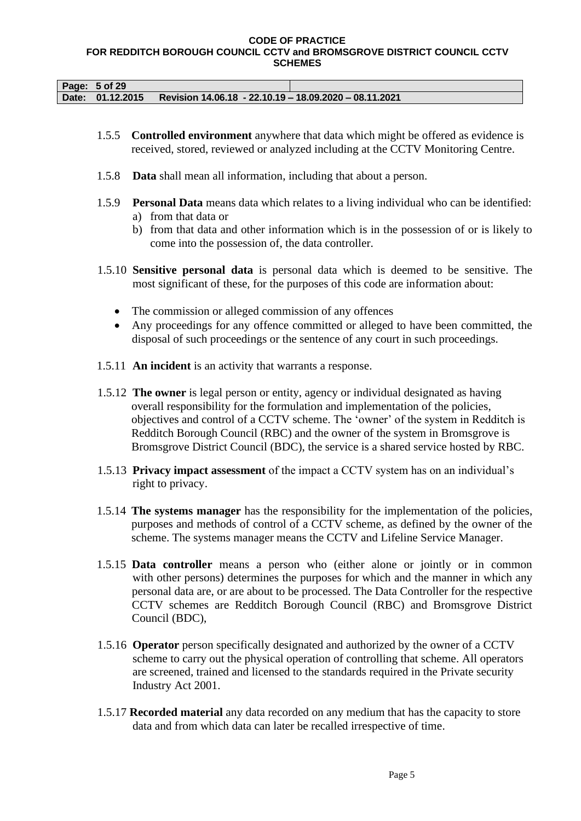| Page: 5 of 29 |                                                                         |  |
|---------------|-------------------------------------------------------------------------|--|
|               | Date: 01.12.2015 Revision 14.06.18 - 22.10.19 - 18.09.2020 - 08.11.2021 |  |

- 1.5.5 **Controlled environment** anywhere that data which might be offered as evidence is received, stored, reviewed or analyzed including at the CCTV Monitoring Centre.
- 1.5.8 **Data** shall mean all information, including that about a person.
- 1.5.9 **Personal Data** means data which relates to a living individual who can be identified: a) from that data or
	- b) from that data and other information which is in the possession of or is likely to come into the possession of, the data controller.
- 1.5.10 **Sensitive personal data** is personal data which is deemed to be sensitive. The most significant of these, for the purposes of this code are information about:
	- The commission or alleged commission of any offences
	- Any proceedings for any offence committed or alleged to have been committed, the disposal of such proceedings or the sentence of any court in such proceedings.
- 1.5.11 **An incident** is an activity that warrants a response.
- 1.5.12 **The owner** is legal person or entity, agency or individual designated as having overall responsibility for the formulation and implementation of the policies, objectives and control of a CCTV scheme. The 'owner' of the system in Redditch is Redditch Borough Council (RBC) and the owner of the system in Bromsgrove is Bromsgrove District Council (BDC), the service is a shared service hosted by RBC.
- 1.5.13 **Privacy impact assessment** of the impact a CCTV system has on an individual's right to privacy.
- 1.5.14 **The systems manager** has the responsibility for the implementation of the policies, purposes and methods of control of a CCTV scheme, as defined by the owner of the scheme. The systems manager means the CCTV and Lifeline Service Manager.
- 1.5.15 **Data controller** means a person who (either alone or jointly or in common with other persons) determines the purposes for which and the manner in which any personal data are, or are about to be processed. The Data Controller for the respective CCTV schemes are Redditch Borough Council (RBC) and Bromsgrove District Council (BDC),
- 1.5.16 **Operator** person specifically designated and authorized by the owner of a CCTV scheme to carry out the physical operation of controlling that scheme. All operators are screened, trained and licensed to the standards required in the Private security Industry Act 2001.
- 1.5.17 **Recorded material** any data recorded on any medium that has the capacity to store data and from which data can later be recalled irrespective of time.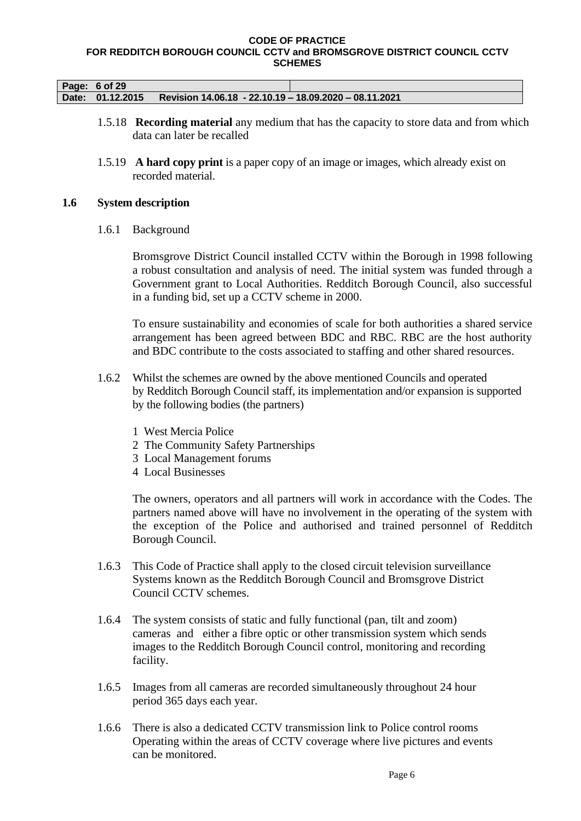| Page: 6 of 29    |                                                        |  |
|------------------|--------------------------------------------------------|--|
| Date: 01.12.2015 | Revision 14.06.18 - 22.10.19 - 18.09.2020 - 08.11.2021 |  |

- 1.5.18 **Recording material** any medium that has the capacity to store data and from which data can later be recalled
- 1.5.19 **A hard copy print** is a paper copy of an image or images, which already exist on recorded material.

## **1.6 System description**

1.6.1 Background

Bromsgrove District Council installed CCTV within the Borough in 1998 following a robust consultation and analysis of need. The initial system was funded through a Government grant to Local Authorities. Redditch Borough Council, also successful in a funding bid, set up a CCTV scheme in 2000.

To ensure sustainability and economies of scale for both authorities a shared service arrangement has been agreed between BDC and RBC. RBC are the host authority and BDC contribute to the costs associated to staffing and other shared resources.

- 1.6.2 Whilst the schemes are owned by the above mentioned Councils and operated by Redditch Borough Council staff, its implementation and/or expansion is supported by the following bodies (the partners)
	- 1 West Mercia Police
	- 2 The Community Safety Partnerships
	- 3 Local Management forums
	- 4 Local Businesses

The owners, operators and all partners will work in accordance with the Codes. The partners named above will have no involvement in the operating of the system with the exception of the Police and authorised and trained personnel of Redditch Borough Council.

- 1.6.3 This Code of Practice shall apply to the closed circuit television surveillance Systems known as the Redditch Borough Council and Bromsgrove District Council CCTV schemes.
- 1.6.4 The system consists of static and fully functional (pan, tilt and zoom) cameras and either a fibre optic or other transmission system which sends images to the Redditch Borough Council control, monitoring and recording facility.
- 1.6.5 Images from all cameras are recorded simultaneously throughout 24 hour period 365 days each year.
- 1.6.6 There is also a dedicated CCTV transmission link to Police control rooms Operating within the areas of CCTV coverage where live pictures and events can be monitored.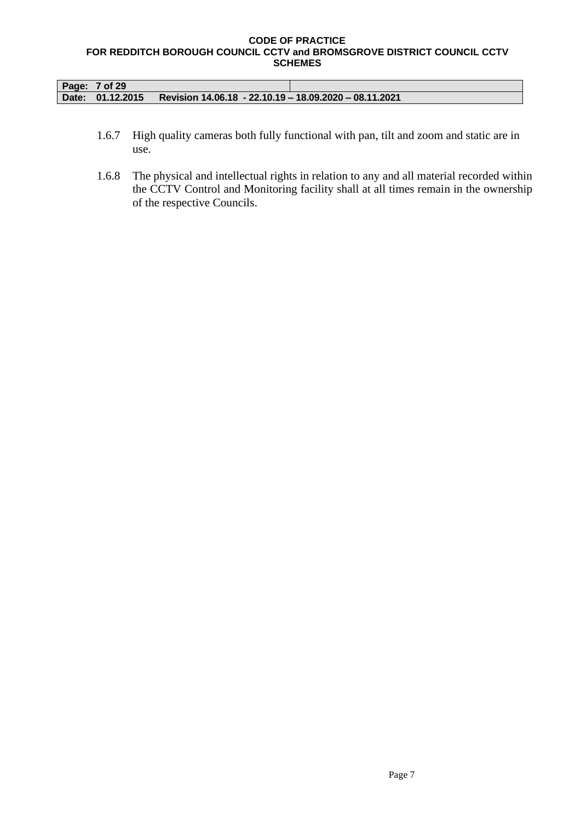| Page: 7 of 29    |                                                        |  |
|------------------|--------------------------------------------------------|--|
| Date: 01.12.2015 | Revision 14.06.18 - 22.10.19 - 18.09.2020 - 08.11.2021 |  |

- 1.6.7 High quality cameras both fully functional with pan, tilt and zoom and static are in use.
- 1.6.8 The physical and intellectual rights in relation to any and all material recorded within the CCTV Control and Monitoring facility shall at all times remain in the ownership of the respective Councils.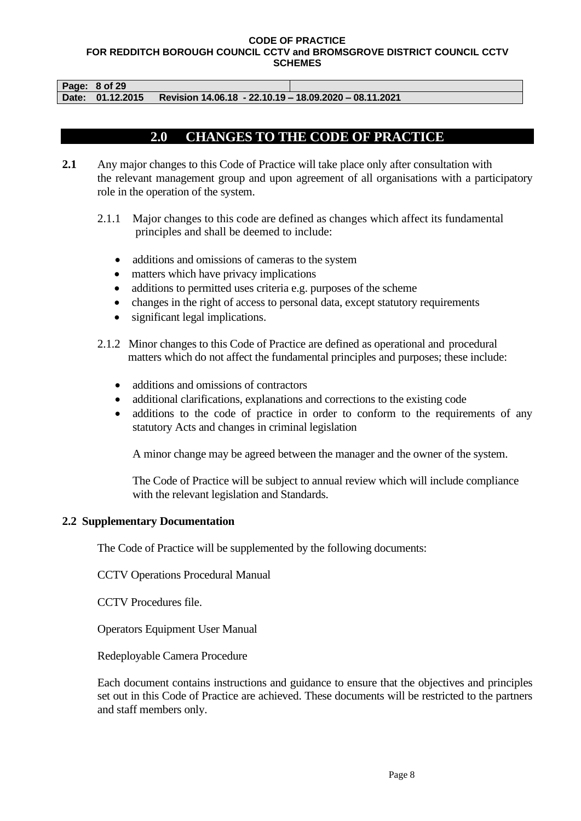**Page: 8 of 29** 

**Date: 01.12.2015 Revision 14.06.18 - 22.10.19 – 18.09.2020 – 08.11.2021**

## **2.0 CHANGES TO THE CODE OF PRACTICE**

- **2.1** Any major changes to this Code of Practice will take place only after consultation with the relevant management group and upon agreement of all organisations with a participatory role in the operation of the system.
	- 2.1.1 Major changes to this code are defined as changes which affect its fundamental principles and shall be deemed to include:
		- additions and omissions of cameras to the system
		- matters which have privacy implications
		- additions to permitted uses criteria e.g. purposes of the scheme
		- changes in the right of access to personal data, except statutory requirements
		- significant legal implications.
	- 2.1.2Minor changes to this Code of Practice are defined as operational and procedural matters which do not affect the fundamental principles and purposes; these include:
		- additions and omissions of contractors
		- additional clarifications, explanations and corrections to the existing code
		- additions to the code of practice in order to conform to the requirements of any statutory Acts and changes in criminal legislation

A minor change may be agreed between the manager and the owner of the system.

The Code of Practice will be subject to annual review which will include compliance with the relevant legislation and Standards.

## **2.2 Supplementary Documentation**

The Code of Practice will be supplemented by the following documents:

CCTV Operations Procedural Manual

CCTV Procedures file.

Operators Equipment User Manual

Redeployable Camera Procedure

Each document contains instructions and guidance to ensure that the objectives and principles set out in this Code of Practice are achieved. These documents will be restricted to the partners and staff members only.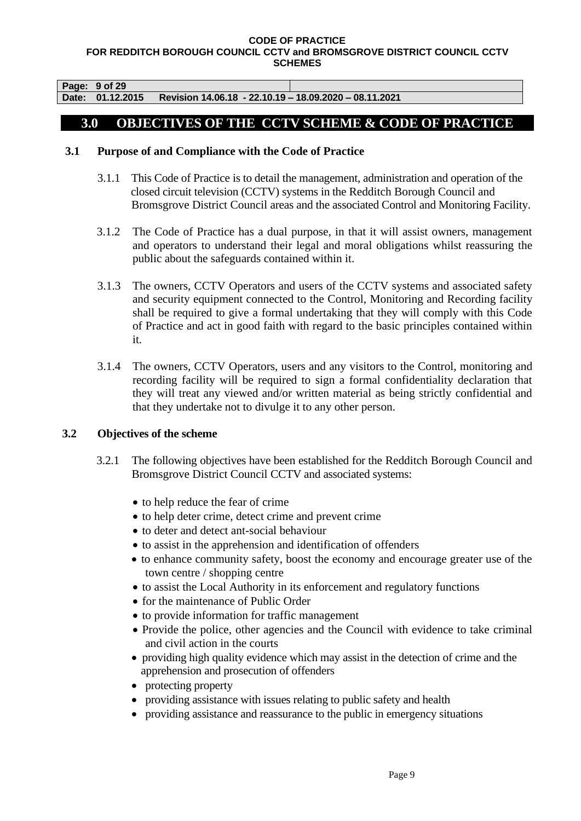**Page: 9 of 29** 

**Date: 01.12.2015 Revision 14.06.18 - 22.10.19 – 18.09.2020 – 08.11.2021**

## **3.0 OBJECTIVES OF THE CCTV SCHEME & CODE OF PRACTICE**

## **3.1 Purpose of and Compliance with the Code of Practice**

- 3.1.1 This Code of Practice is to detail the management, administration and operation of the closed circuit television (CCTV) systems in the Redditch Borough Council and Bromsgrove District Council areas and the associated Control and Monitoring Facility.
- 3.1.2 The Code of Practice has a dual purpose, in that it will assist owners, management and operators to understand their legal and moral obligations whilst reassuring the public about the safeguards contained within it.
- 3.1.3 The owners, CCTV Operators and users of the CCTV systems and associated safety and security equipment connected to the Control, Monitoring and Recording facility shall be required to give a formal undertaking that they will comply with this Code of Practice and act in good faith with regard to the basic principles contained within it.
- 3.1.4 The owners, CCTV Operators, users and any visitors to the Control, monitoring and recording facility will be required to sign a formal confidentiality declaration that they will treat any viewed and/or written material as being strictly confidential and that they undertake not to divulge it to any other person.

## **3.2 Objectives of the scheme**

- 3.2.1 The following objectives have been established for the Redditch Borough Council and Bromsgrove District Council CCTV and associated systems:
	- to help reduce the fear of crime
	- to help deter crime, detect crime and prevent crime
	- to deter and detect ant-social behaviour
	- to assist in the apprehension and identification of offenders
	- to enhance community safety, boost the economy and encourage greater use of the town centre / shopping centre
	- to assist the Local Authority in its enforcement and regulatory functions
	- for the maintenance of Public Order
	- to provide information for traffic management
	- Provide the police, other agencies and the Council with evidence to take criminal and civil action in the courts
	- providing high quality evidence which may assist in the detection of crime and the apprehension and prosecution of offenders
	- protecting property
	- providing assistance with issues relating to public safety and health
	- providing assistance and reassurance to the public in emergency situations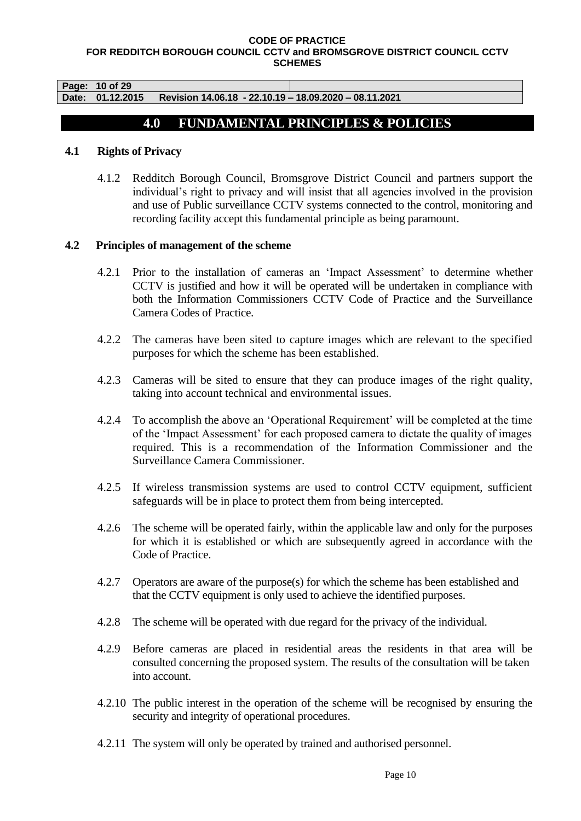**Page: 10 of 29** 

**Date: 01.12.2015 Revision 14.06.18 - 22.10.19 – 18.09.2020 – 08.11.2021**

## **4.0 FUNDAMENTAL PRINCIPLES & POLICIES**

## **4.1 Rights of Privacy**

4.1.2 Redditch Borough Council, Bromsgrove District Council and partners support the individual's right to privacy and will insist that all agencies involved in the provision and use of Public surveillance CCTV systems connected to the control, monitoring and recording facility accept this fundamental principle as being paramount.

## **4.2 Principles of management of the scheme**

- 4.2.1 Prior to the installation of cameras an 'Impact Assessment' to determine whether CCTV is justified and how it will be operated will be undertaken in compliance with both the Information Commissioners CCTV Code of Practice and the Surveillance Camera Codes of Practice.
- 4.2.2 The cameras have been sited to capture images which are relevant to the specified purposes for which the scheme has been established.
- 4.2.3 Cameras will be sited to ensure that they can produce images of the right quality, taking into account technical and environmental issues.
- 4.2.4 To accomplish the above an 'Operational Requirement' will be completed at the time of the 'Impact Assessment' for each proposed camera to dictate the quality of images required. This is a recommendation of the Information Commissioner and the Surveillance Camera Commissioner.
- 4.2.5 If wireless transmission systems are used to control CCTV equipment, sufficient safeguards will be in place to protect them from being intercepted.
- 4.2.6 The scheme will be operated fairly, within the applicable law and only for the purposes for which it is established or which are subsequently agreed in accordance with the Code of Practice.
- 4.2.7 Operators are aware of the purpose(s) for which the scheme has been established and that the CCTV equipment is only used to achieve the identified purposes.
- 4.2.8 The scheme will be operated with due regard for the privacy of the individual.
- 4.2.9 Before cameras are placed in residential areas the residents in that area will be consulted concerning the proposed system. The results of the consultation will be taken into account.
- 4.2.10 The public interest in the operation of the scheme will be recognised by ensuring the security and integrity of operational procedures.
- 4.2.11 The system will only be operated by trained and authorised personnel.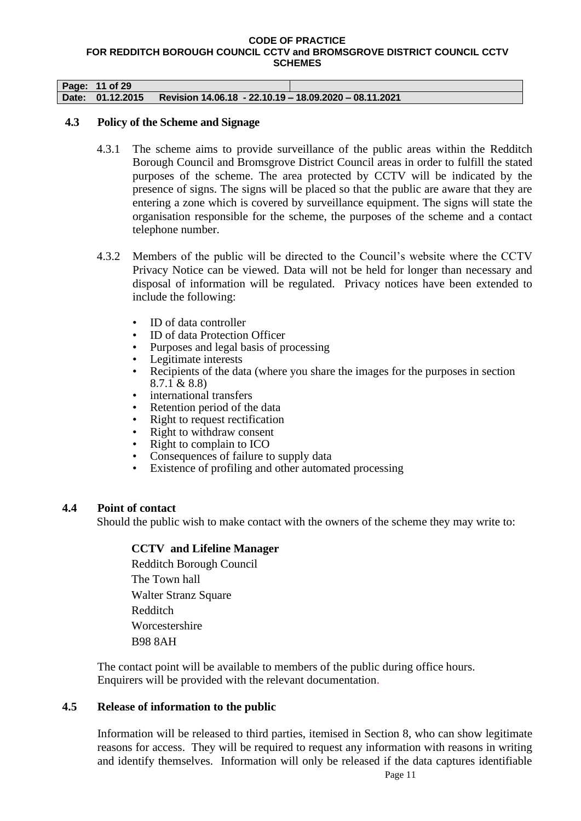| Page: 11 of 29   |                                                        |  |
|------------------|--------------------------------------------------------|--|
| Date: 01.12.2015 | Revision 14.06.18 - 22.10.19 - 18.09.2020 - 08.11.2021 |  |

## **4.3 Policy of the Scheme and Signage**

- 4.3.1 The scheme aims to provide surveillance of the public areas within the Redditch Borough Council and Bromsgrove District Council areas in order to fulfill the stated purposes of the scheme. The area protected by CCTV will be indicated by the presence of signs. The signs will be placed so that the public are aware that they are entering a zone which is covered by surveillance equipment. The signs will state the organisation responsible for the scheme, the purposes of the scheme and a contact telephone number.
- 4.3.2 Members of the public will be directed to the Council's website where the CCTV Privacy Notice can be viewed. Data will not be held for longer than necessary and disposal of information will be regulated. Privacy notices have been extended to include the following:
	- ID of data controller
	- ID of data Protection Officer
	- Purposes and legal basis of processing
	- Legitimate interests
	- Recipients of the data (where you share the images for the purposes in section 8.7.1 & 8.8)
	- international transfers
	- Retention period of the data
	- Right to request rectification
	- Right to withdraw consent
	- Right to complain to ICO
	- Consequences of failure to supply data
	- Existence of profiling and other automated processing

## **4.4 Point of contact**

Should the public wish to make contact with the owners of the scheme they may write to:

## **CCTV and Lifeline Manager**

Redditch Borough Council The Town hall Walter Stranz Square Redditch Worcestershire B98 8AH

The contact point will be available to members of the public during office hours. Enquirers will be provided with the relevant documentation.

## **4.5 Release of information to the public**

Information will be released to third parties, itemised in Section 8, who can show legitimate reasons for access. They will be required to request any information with reasons in writing and identify themselves. Information will only be released if the data captures identifiable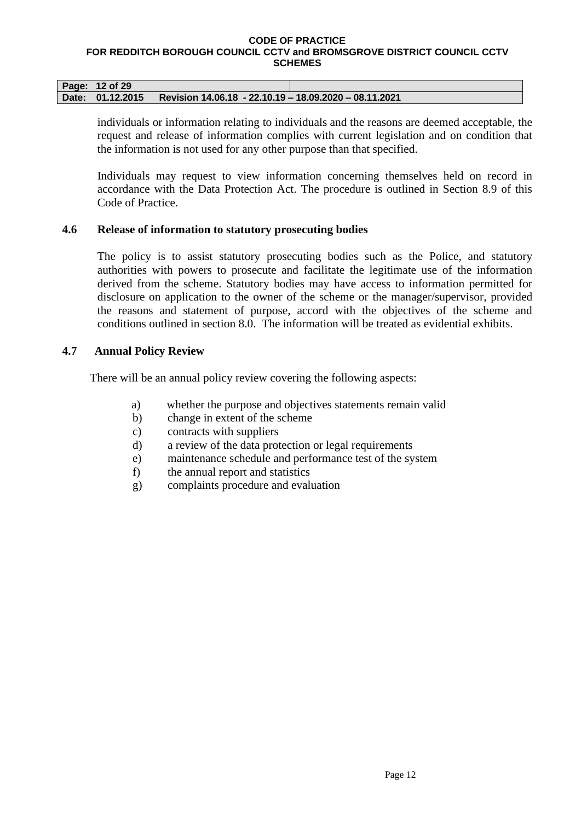| Page: 12 of 29   |                                                        |  |
|------------------|--------------------------------------------------------|--|
| Date: 01.12.2015 | Revision 14.06.18 - 22.10.19 - 18.09.2020 - 08.11.2021 |  |

individuals or information relating to individuals and the reasons are deemed acceptable, the request and release of information complies with current legislation and on condition that the information is not used for any other purpose than that specified.

Individuals may request to view information concerning themselves held on record in accordance with the Data Protection Act. The procedure is outlined in Section 8.9 of this Code of Practice.

## **4.6 Release of information to statutory prosecuting bodies**

The policy is to assist statutory prosecuting bodies such as the Police, and statutory authorities with powers to prosecute and facilitate the legitimate use of the information derived from the scheme. Statutory bodies may have access to information permitted for disclosure on application to the owner of the scheme or the manager/supervisor, provided the reasons and statement of purpose, accord with the objectives of the scheme and conditions outlined in section 8.0. The information will be treated as evidential exhibits.

## **4.7 Annual Policy Review**

There will be an annual policy review covering the following aspects:

- a) whether the purpose and objectives statements remain valid
- b) change in extent of the scheme
- c) contracts with suppliers
- d) a review of the data protection or legal requirements
- e) maintenance schedule and performance test of the system
- f) the annual report and statistics
- g) complaints procedure and evaluation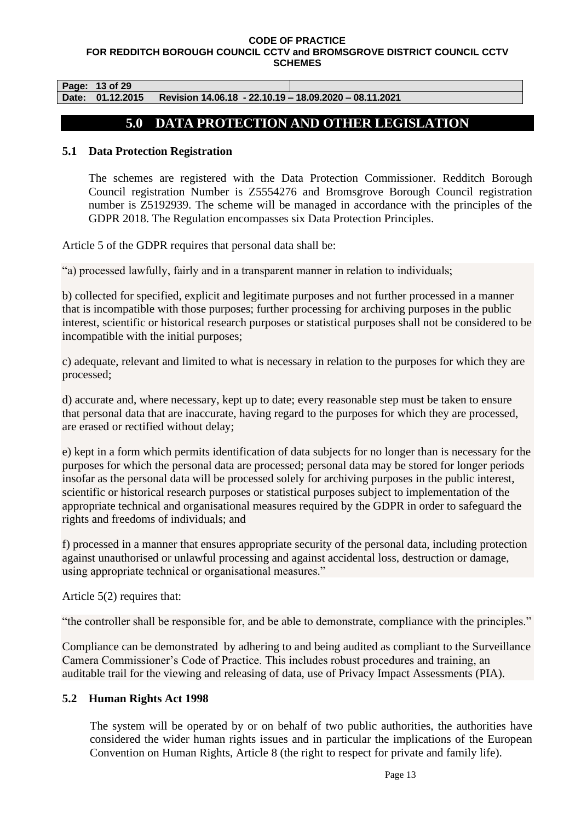**Page: 13 of 29** 

**Date: 01.12.2015 Revision 14.06.18 - 22.10.19 – 18.09.2020 – 08.11.2021**

# **5.0 DATA PROTECTION AND OTHER LEGISLATION**

## **5.1 Data Protection Registration**

The schemes are registered with the Data Protection Commissioner. Redditch Borough Council registration Number is Z5554276 and Bromsgrove Borough Council registration number is Z5192939. The scheme will be managed in accordance with the principles of the GDPR 2018. The Regulation encompasses six Data Protection Principles.

Article 5 of the GDPR requires that personal data shall be:

"a) processed lawfully, fairly and in a transparent manner in relation to individuals;

b) collected for specified, explicit and legitimate purposes and not further processed in a manner that is incompatible with those purposes; further processing for archiving purposes in the public interest, scientific or historical research purposes or statistical purposes shall not be considered to be incompatible with the initial purposes;

c) adequate, relevant and limited to what is necessary in relation to the purposes for which they are processed;

d) accurate and, where necessary, kept up to date; every reasonable step must be taken to ensure that personal data that are inaccurate, having regard to the purposes for which they are processed, are erased or rectified without delay;

e) kept in a form which permits identification of data subjects for no longer than is necessary for the purposes for which the personal data are processed; personal data may be stored for longer periods insofar as the personal data will be processed solely for archiving purposes in the public interest, scientific or historical research purposes or statistical purposes subject to implementation of the appropriate technical and organisational measures required by the GDPR in order to safeguard the rights and freedoms of individuals; and

f) processed in a manner that ensures appropriate security of the personal data, including protection against unauthorised or unlawful processing and against accidental loss, destruction or damage, using appropriate technical or organisational measures."

Article 5(2) requires that:

"the controller shall be responsible for, and be able to demonstrate, compliance with the principles."

Compliance can be demonstrated by adhering to and being audited as compliant to the Surveillance Camera Commissioner's Code of Practice. This includes robust procedures and training, an auditable trail for the viewing and releasing of data, use of Privacy Impact Assessments (PIA).

## **5.2 Human Rights Act 1998**

The system will be operated by or on behalf of two public authorities, the authorities have considered the wider human rights issues and in particular the implications of the European Convention on Human Rights, Article 8 (the right to respect for private and family life).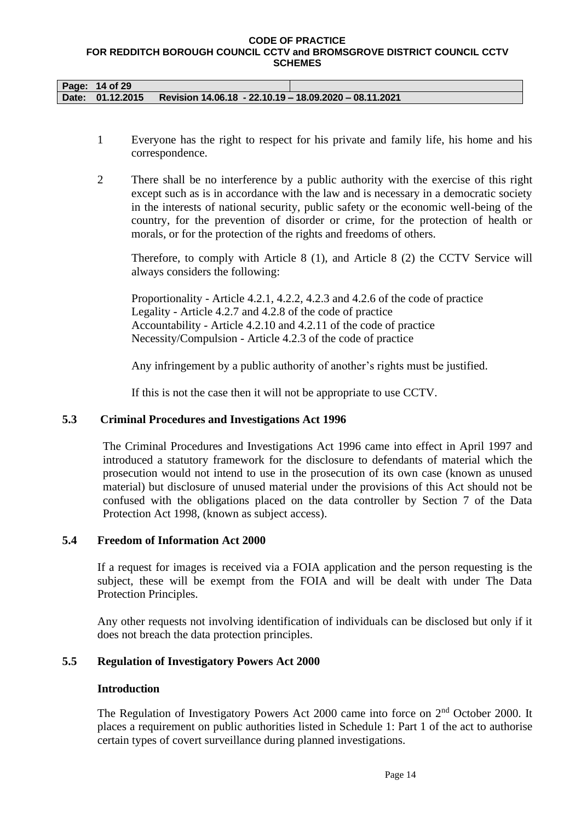| Page: 14 of 29 |                                                                         |  |
|----------------|-------------------------------------------------------------------------|--|
|                | Date: 01.12.2015 Revision 14.06.18 - 22.10.19 - 18.09.2020 - 08.11.2021 |  |

- 1 Everyone has the right to respect for his private and family life, his home and his correspondence.
- 2 There shall be no interference by a public authority with the exercise of this right except such as is in accordance with the law and is necessary in a democratic society in the interests of national security, public safety or the economic well-being of the country, for the prevention of disorder or crime, for the protection of health or morals, or for the protection of the rights and freedoms of others.

Therefore, to comply with Article 8 (1), and Article 8 (2) the CCTV Service will always considers the following:

Proportionality - Article 4.2.1, 4.2.2, 4.2.3 and 4.2.6 of the code of practice Legality - Article 4.2.7 and 4.2.8 of the code of practice Accountability - Article 4.2.10 and 4.2.11 of the code of practice Necessity/Compulsion - Article 4.2.3 of the code of practice

Any infringement by a public authority of another's rights must be justified.

If this is not the case then it will not be appropriate to use CCTV.

## **5.3 Criminal Procedures and Investigations Act 1996**

The Criminal Procedures and Investigations Act 1996 came into effect in April 1997 and introduced a statutory framework for the disclosure to defendants of material which the prosecution would not intend to use in the prosecution of its own case (known as unused material) but disclosure of unused material under the provisions of this Act should not be confused with the obligations placed on the data controller by Section 7 of the Data Protection Act 1998, (known as subject access).

## **5.4 Freedom of Information Act 2000**

If a request for images is received via a FOIA application and the person requesting is the subject, these will be exempt from the FOIA and will be dealt with under The Data Protection Principles.

Any other requests not involving identification of individuals can be disclosed but only if it does not breach the data protection principles.

## **5.5 Regulation of Investigatory Powers Act 2000**

## **Introduction**

The Regulation of Investigatory Powers Act 2000 came into force on 2<sup>nd</sup> October 2000. It places a requirement on public authorities listed in Schedule 1: Part 1 of the act to authorise certain types of covert surveillance during planned investigations.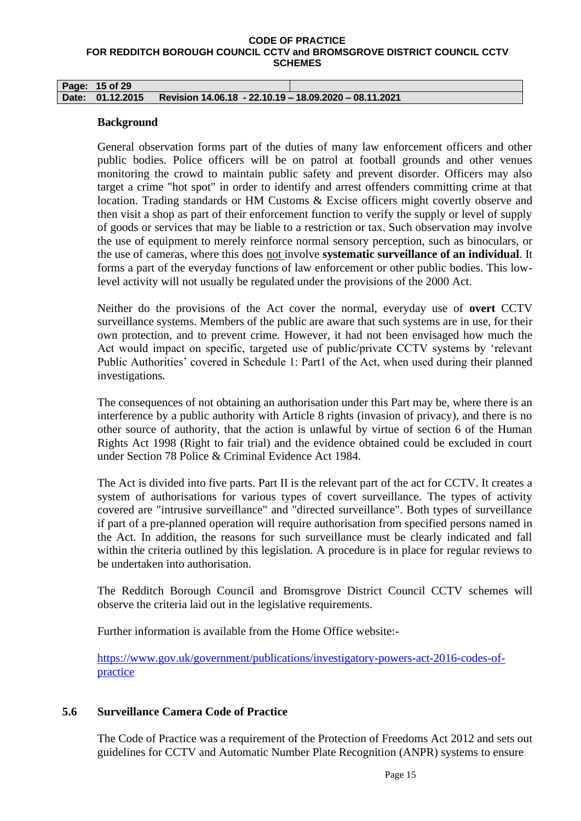| Page: 15 of 29   |                                                        |  |
|------------------|--------------------------------------------------------|--|
| Date: 01.12.2015 | Revision 14.06.18 - 22.10.19 – 18.09.2020 – 08.11.2021 |  |

### **Background**

General observation forms part of the duties of many law enforcement officers and other public bodies. Police officers will be on patrol at football grounds and other venues monitoring the crowd to maintain public safety and prevent disorder. Officers may also target a crime "hot spot" in order to identify and arrest offenders committing crime at that location. Trading standards or HM Customs & Excise officers might covertly observe and then visit a shop as part of their enforcement function to verify the supply or level of supply of goods or services that may be liable to a restriction or tax. Such observation may involve the use of equipment to merely reinforce normal sensory perception, such as binoculars, or the use of cameras, where this does not involve **systematic surveillance of an individual**. It forms a part of the everyday functions of law enforcement or other public bodies. This lowlevel activity will not usually be regulated under the provisions of the 2000 Act.

Neither do the provisions of the Act cover the normal, everyday use of **overt** CCTV surveillance systems. Members of the public are aware that such systems are in use, for their own protection, and to prevent crime*.* However, it had not been envisaged how much the Act would impact on specific, targeted use of public/private CCTV systems by 'relevant Public Authorities' covered in Schedule 1: Part1 of the Act, when used during their planned investigations.

The consequences of not obtaining an authorisation under this Part may be, where there is an interference by a public authority with Article 8 rights (invasion of privacy), and there is no other source of authority, that the action is unlawful by virtue of section 6 of the Human Rights Act 1998 (Right to fair trial) and the evidence obtained could be excluded in court under Section 78 Police & Criminal Evidence Act 1984.

The Act is divided into five parts. Part II is the relevant part of the act for CCTV. It creates a system of authorisations for various types of covert surveillance. The types of activity covered are "intrusive surveillance" and "directed surveillance". Both types of surveillance if part of a pre-planned operation will require authorisation from specified persons named in the Act. In addition, the reasons for such surveillance must be clearly indicated and fall within the criteria outlined by this legislation. A procedure is in place for regular reviews to be undertaken into authorisation.

The Redditch Borough Council and Bromsgrove District Council CCTV schemes will observe the criteria laid out in the legislative requirements.

Further information is available from the Home Office website:-

[https://www.gov.uk/government/publications/investigatory-powers-act-2016-codes-of](https://www.gov.uk/government/publications/investigatory-powers-act-2016-codes-of-practice)[practice](https://www.gov.uk/government/publications/investigatory-powers-act-2016-codes-of-practice)

## **5.6 Surveillance Camera Code of Practice**

The [Code](https://www.gov.uk/government/uploads/system/uploads/attachment_data/file/204775/Surveillance_Camera_Code_of_Practice_WEB.pdf) of Practice was a requirement of the Protection of Freedoms Act 2012 and sets out guidelines for CCTV and Automatic Number Plate Recognition (ANPR) systems to ensure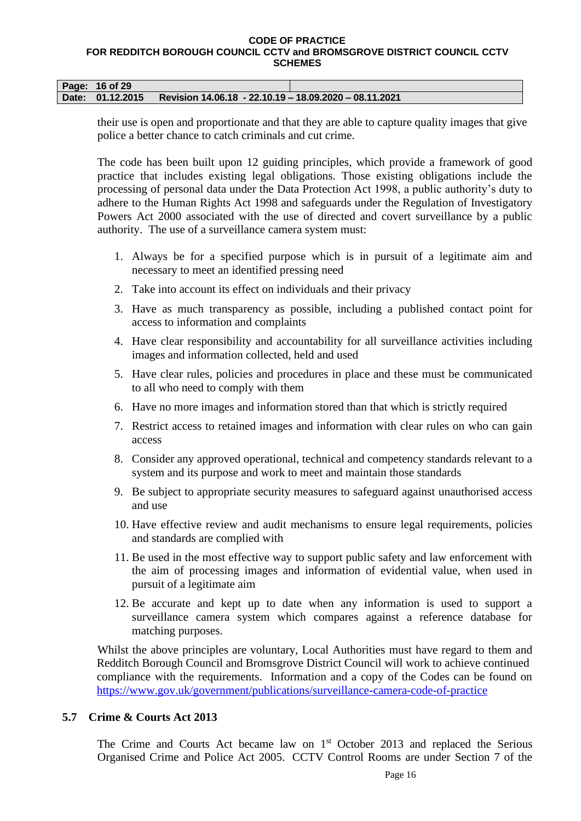#### **Page: 16 of 29 Date: 01.12.2015 Revision 14.06.18 - 22.10.19 – 18.09.2020 – 08.11.2021**

their use is open and proportionate and that they are able to capture quality images that give police a better chance to catch criminals and cut crime.

The code has been built upon 12 guiding principles, which provide a framework of good practice that includes existing legal obligations. Those existing obligations include the processing of personal data under the Data Protection Act 1998, a public authority's duty to adhere to the Human Rights Act 1998 and safeguards under the Regulation of Investigatory Powers Act 2000 associated with the use of directed and covert surveillance by a public authority. The use of a surveillance camera system must:

- 1. Always be for a specified purpose which is in pursuit of a legitimate aim and necessary to meet an identified pressing need
- 2. Take into account its effect on individuals and their privacy
- 3. Have as much transparency as possible, including a published contact point for access to information and complaints
- 4. Have clear responsibility and accountability for all surveillance activities including images and information collected, held and used
- 5. Have clear rules, policies and procedures in place and these must be communicated to all who need to comply with them
- 6. Have no more images and information stored than that which is strictly required
- 7. Restrict access to retained images and information with clear rules on who can gain access
- 8. Consider any approved operational, technical and competency standards relevant to a system and its purpose and work to meet and maintain those standards
- 9. Be subject to appropriate security measures to safeguard against unauthorised access and use
- 10. Have effective review and audit mechanisms to ensure legal requirements, policies and standards are complied with
- 11. Be used in the most effective way to support public safety and law enforcement with the aim of processing images and information of evidential value, when used in pursuit of a legitimate aim
- 12. Be accurate and kept up to date when any information is used to support a surveillance camera system which compares against a reference database for matching purposes.

Whilst the above principles are voluntary, Local Authorities must have regard to them and Redditch Borough Council and Bromsgrove District Council will work to achieve continued compliance with the requirements. Information and a copy of the Codes can be found on <https://www.gov.uk/government/publications/surveillance-camera-code-of-practice>

## **5.7 Crime & Courts Act 2013**

The Crime and Courts Act became law on 1<sup>st</sup> October 2013 and replaced the Serious Organised Crime and Police Act 2005. CCTV Control Rooms are under Section 7 of the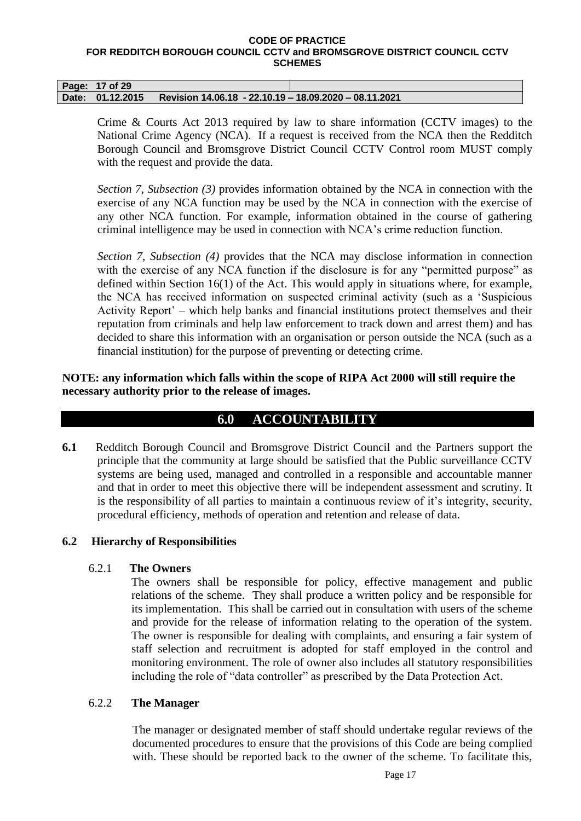| Page: 17 of 29   |                                                        |  |
|------------------|--------------------------------------------------------|--|
| Date: 01.12.2015 | Revision 14.06.18 - 22.10.19 – 18.09.2020 – 08.11.2021 |  |

Crime & Courts Act 2013 required by law to share information (CCTV images) to the National Crime Agency (NCA). If a request is received from the NCA then the Redditch Borough Council and Bromsgrove District Council CCTV Control room MUST comply with the request and provide the data.

*Section 7, Subsection (3)* provides information obtained by the NCA in connection with the exercise of any NCA function may be used by the NCA in connection with the exercise of any other NCA function. For example, information obtained in the course of gathering criminal intelligence may be used in connection with NCA's crime reduction function.

*Section 7, Subsection (4)* provides that the NCA may disclose information in connection with the exercise of any NCA function if the disclosure is for any "permitted purpose" as defined within Section 16(1) of the Act. This would apply in situations where, for example, the NCA has received information on suspected criminal activity (such as a 'Suspicious Activity Report' – which help banks and financial institutions protect themselves and their reputation from criminals and help law enforcement to track down and arrest them) and has decided to share this information with an organisation or person outside the NCA (such as a financial institution) for the purpose of preventing or detecting crime.

**NOTE: any information which falls within the scope of RIPA Act 2000 will still require the necessary authority prior to the release of images.**

## **6.0 ACCOUNTABILITY**

**6.1** Redditch Borough Council and Bromsgrove District Council and the Partners support the principle that the community at large should be satisfied that the Public surveillance CCTV systems are being used, managed and controlled in a responsible and accountable manner and that in order to meet this objective there will be independent assessment and scrutiny. It is the responsibility of all parties to maintain a continuous review of it's integrity, security, procedural efficiency, methods of operation and retention and release of data.

## **6.2 Hierarchy of Responsibilities**

### 6.2.1 **The Owners**

The owners shall be responsible for policy, effective management and public relations of the scheme. They shall produce a written policy and be responsible for its implementation. This shall be carried out in consultation with users of the scheme and provide for the release of information relating to the operation of the system. The owner is responsible for dealing with complaints, and ensuring a fair system of staff selection and recruitment is adopted for staff employed in the control and monitoring environment. The role of owner also includes all statutory responsibilities including the role of "data controller" as prescribed by the Data Protection Act.

## 6.2.2 **The Manager**

The manager or designated member of staff should undertake regular reviews of the documented procedures to ensure that the provisions of this Code are being complied with. These should be reported back to the owner of the scheme. To facilitate this,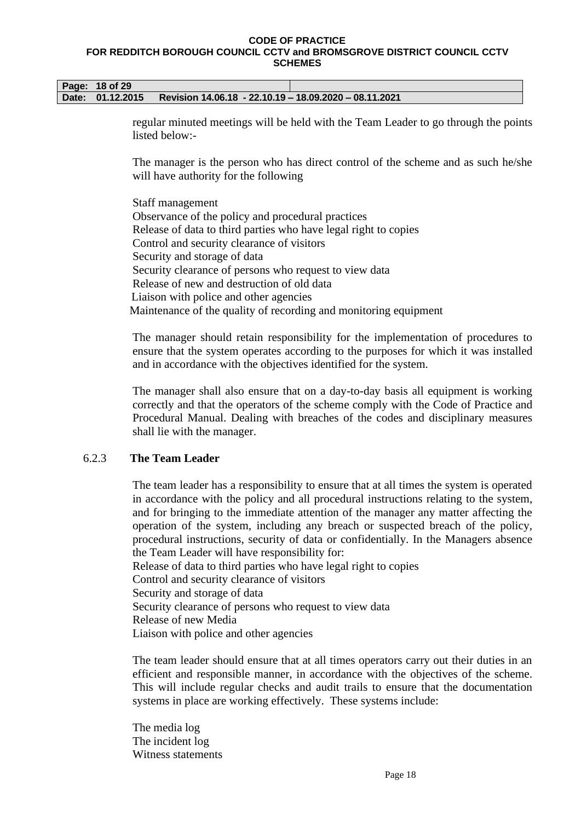| Page: 18 of 29   |                                                        |  |
|------------------|--------------------------------------------------------|--|
| Date: 01.12.2015 | Revision 14.06.18 - 22.10.19 – 18.09.2020 – 08.11.2021 |  |

regular minuted meetings will be held with the Team Leader to go through the points listed below:-

The manager is the person who has direct control of the scheme and as such he/she will have authority for the following

Staff management Observance of the policy and procedural practices Release of data to third parties who have legal right to copies Control and security clearance of visitors Security and storage of data Security clearance of persons who request to view data Release of new and destruction of old data Liaison with police and other agencies Maintenance of the quality of recording and monitoring equipment

The manager should retain responsibility for the implementation of procedures to ensure that the system operates according to the purposes for which it was installed and in accordance with the objectives identified for the system.

The manager shall also ensure that on a day-to-day basis all equipment is working correctly and that the operators of the scheme comply with the Code of Practice and Procedural Manual. Dealing with breaches of the codes and disciplinary measures shall lie with the manager.

## 6.2.3 **The Team Leader**

The team leader has a responsibility to ensure that at all times the system is operated in accordance with the policy and all procedural instructions relating to the system, and for bringing to the immediate attention of the manager any matter affecting the operation of the system, including any breach or suspected breach of the policy, procedural instructions, security of data or confidentially. In the Managers absence the Team Leader will have responsibility for:

Release of data to third parties who have legal right to copies Control and security clearance of visitors Security and storage of data Security clearance of persons who request to view data Release of new Media Liaison with police and other agencies

The team leader should ensure that at all times operators carry out their duties in an efficient and responsible manner, in accordance with the objectives of the scheme. This will include regular checks and audit trails to ensure that the documentation systems in place are working effectively. These systems include:

The media log The incident log Witness statements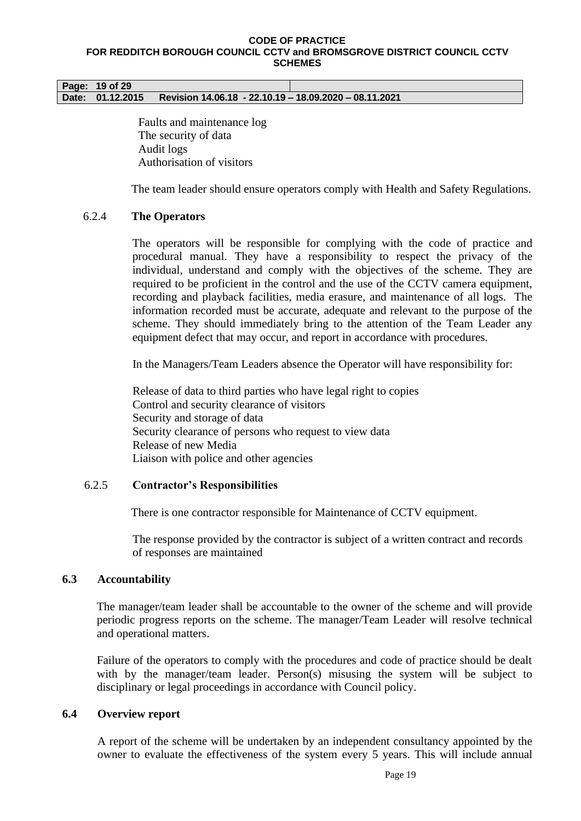#### **Page: 19 of 29 Date: 01.12.2015 Revision 14.06.18 - 22.10.19 – 18.09.2020 – 08.11.2021**

Faults and maintenance log The security of data Audit logs Authorisation of visitors

The team leader should ensure operators comply with Health and Safety Regulations.

## 6.2.4 **The Operators**

The operators will be responsible for complying with the code of practice and procedural manual. They have a responsibility to respect the privacy of the individual, understand and comply with the objectives of the scheme. They are required to be proficient in the control and the use of the CCTV camera equipment, recording and playback facilities, media erasure, and maintenance of all logs. The information recorded must be accurate, adequate and relevant to the purpose of the scheme. They should immediately bring to the attention of the Team Leader any equipment defect that may occur, and report in accordance with procedures.

In the Managers/Team Leaders absence the Operator will have responsibility for:

Release of data to third parties who have legal right to copies Control and security clearance of visitors Security and storage of data Security clearance of persons who request to view data Release of new Media Liaison with police and other agencies

## 6.2.5 **Contractor's Responsibilities**

There is one contractor responsible for Maintenance of CCTV equipment.

The response provided by the contractor is subject of a written contract and records of responses are maintained

## **6.3 Accountability**

The manager/team leader shall be accountable to the owner of the scheme and will provide periodic progress reports on the scheme. The manager/Team Leader will resolve technical and operational matters.

Failure of the operators to comply with the procedures and code of practice should be dealt with by the manager/team leader. Person(s) misusing the system will be subject to disciplinary or legal proceedings in accordance with Council policy.

## **6.4 Overview report**

A report of the scheme will be undertaken by an independent consultancy appointed by the owner to evaluate the effectiveness of the system every 5 years. This will include annual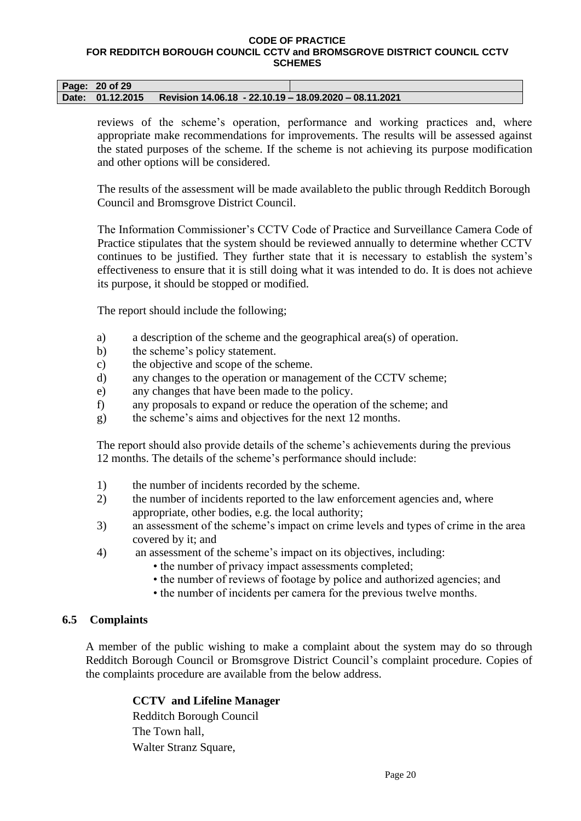| Page: 20 of 29   |                                                        |  |
|------------------|--------------------------------------------------------|--|
| Date: 01.12.2015 | Revision 14.06.18 - 22.10.19 - 18.09.2020 - 08.11.2021 |  |

reviews of the scheme's operation, performance and working practices and, where appropriate make recommendations for improvements. The results will be assessed against the stated purposes of the scheme. If the scheme is not achieving its purpose modification and other options will be considered.

The results of the assessment will be made availableto the public through Redditch Borough Council and Bromsgrove District Council.

The Information Commissioner's CCTV Code of Practice and Surveillance Camera Code of Practice stipulates that the system should be reviewed annually to determine whether CCTV continues to be justified. They further state that it is necessary to establish the system's effectiveness to ensure that it is still doing what it was intended to do. It is does not achieve its purpose, it should be stopped or modified.

The report should include the following;

- a) a description of the scheme and the geographical area(s) of operation.
- b) the scheme's policy statement.
- c) the objective and scope of the scheme.
- d) any changes to the operation or management of the CCTV scheme;
- e) any changes that have been made to the policy.
- f) any proposals to expand or reduce the operation of the scheme; and
- g) the scheme's aims and objectives for the next 12 months.

The report should also provide details of the scheme's achievements during the previous 12 months. The details of the scheme's performance should include:

- 1) the number of incidents recorded by the scheme.
- 2) the number of incidents reported to the law enforcement agencies and, where appropriate, other bodies, e.g. the local authority;
- 3) an assessment of the scheme's impact on crime levels and types of crime in the area covered by it; and
- 4) an assessment of the scheme's impact on its objectives, including:
	- the number of privacy impact assessments completed;
	- the number of reviews of footage by police and authorized agencies; and
	- the number of incidents per camera for the previous twelve months.

## **6.5 Complaints**

A member of the public wishing to make a complaint about the system may do so through Redditch Borough Council or Bromsgrove District Council's complaint procedure. Copies of the complaints procedure are available from the below address.

## **CCTV and Lifeline Manager**

Redditch Borough Council The Town hall, Walter Stranz Square,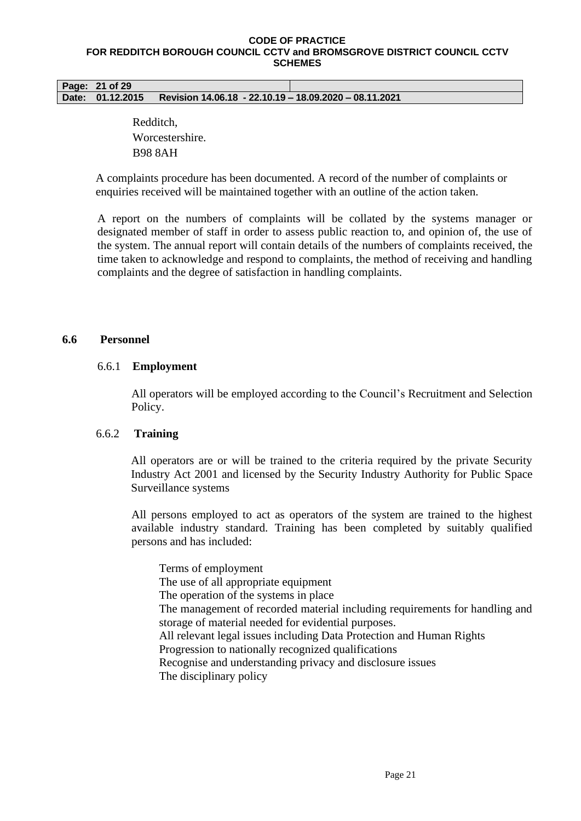**Page: 21 of 29 Date: 01.12.2015 Revision 14.06.18 - 22.10.19 – 18.09.2020 – 08.11.2021**

> Redditch, Worcestershire. B98 8AH

 A complaints procedure has been documented. A record of the number of complaints or enquiries received will be maintained together with an outline of the action taken.

A report on the numbers of complaints will be collated by the systems manager or designated member of staff in order to assess public reaction to, and opinion of, the use of the system. The annual report will contain details of the numbers of complaints received, the time taken to acknowledge and respond to complaints, the method of receiving and handling complaints and the degree of satisfaction in handling complaints.

## **6.6 Personnel**

## 6.6.1 **Employment**

All operators will be employed according to the Council's Recruitment and Selection Policy.

## 6.6.2 **Training**

All operators are or will be trained to the criteria required by the private Security Industry Act 2001 and licensed by the Security Industry Authority for Public Space Surveillance systems

All persons employed to act as operators of the system are trained to the highest available industry standard. Training has been completed by suitably qualified persons and has included:

Terms of employment The use of all appropriate equipment The operation of the systems in place The management of recorded material including requirements for handling and storage of material needed for evidential purposes. All relevant legal issues including Data Protection and Human Rights Progression to nationally recognized qualifications Recognise and understanding privacy and disclosure issues The disciplinary policy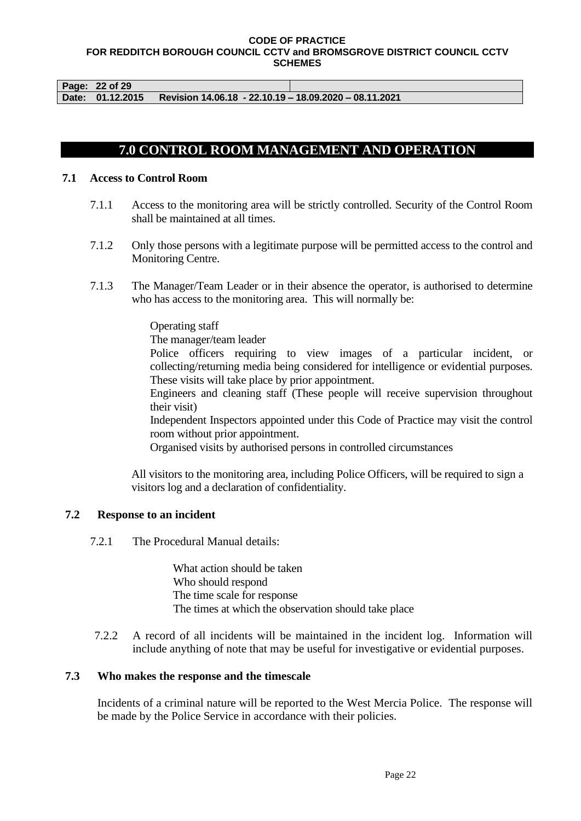**Page: 22 of 29** 

**Date: 01.12.2015 Revision 14.06.18 - 22.10.19 – 18.09.2020 – 08.11.2021**

## **7.0 CONTROL ROOM MANAGEMENT AND OPERATION**

## **7.1 Access to Control Room**

- 7.1.1 Access to the monitoring area will be strictly controlled. Security of the Control Room shall be maintained at all times.
- 7.1.2 Only those persons with a legitimate purpose will be permitted access to the control and Monitoring Centre.
- 7.1.3 The Manager/Team Leader or in their absence the operator, is authorised to determine who has access to the monitoring area. This will normally be:

Operating staff

The manager/team leader

Police officers requiring to view images of a particular incident, or collecting/returning media being considered for intelligence or evidential purposes. These visits will take place by prior appointment.

Engineers and cleaning staff (These people will receive supervision throughout their visit)

Independent Inspectors appointed under this Code of Practice may visit the control room without prior appointment.

Organised visits by authorised persons in controlled circumstances

All visitors to the monitoring area, including Police Officers, will be required to sign a visitors log and a declaration of confidentiality.

## **7.2 Response to an incident**

7.2.1 The Procedural Manual details:

What action should be taken Who should respond The time scale for response The times at which the observation should take place

7.2.2 A record of all incidents will be maintained in the incident log. Information will include anything of note that may be useful for investigative or evidential purposes.

### **7.3 Who makes the response and the timescale**

Incidents of a criminal nature will be reported to the West Mercia Police. The response will be made by the Police Service in accordance with their policies.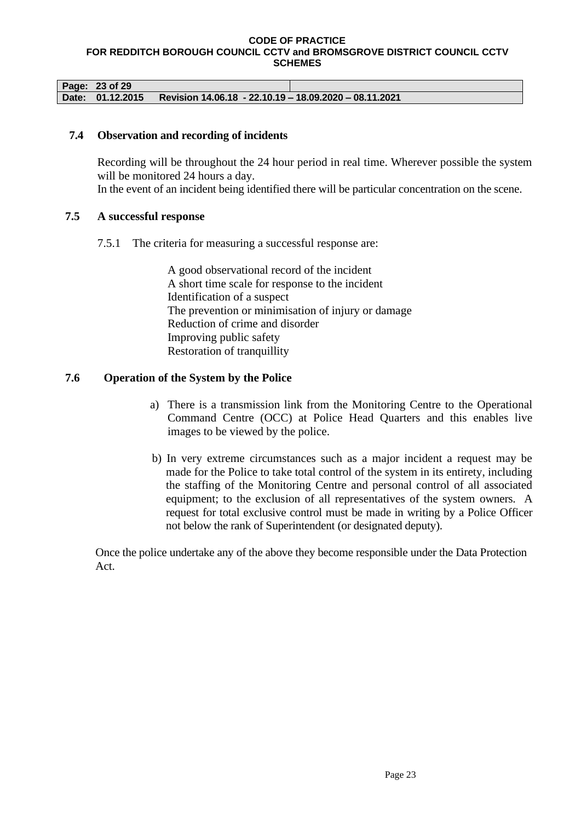| Page: 23 of 29   |                                                        |  |
|------------------|--------------------------------------------------------|--|
| Date: 01.12.2015 | Revision 14.06.18 - 22.10.19 - 18.09.2020 - 08.11.2021 |  |

## **7.4 Observation and recording of incidents**

Recording will be throughout the 24 hour period in real time. Wherever possible the system will be monitored 24 hours a day. In the event of an incident being identified there will be particular concentration on the scene.

## **7.5 A successful response**

7.5.1 The criteria for measuring a successful response are:

A good observational record of the incident A short time scale for response to the incident Identification of a suspect The prevention or minimisation of injury or damage Reduction of crime and disorder Improving public safety Restoration of tranquillity

## **7.6 Operation of the System by the Police**

- a) There is a transmission link from the Monitoring Centre to the Operational Command Centre (OCC) at Police Head Quarters and this enables live images to be viewed by the police.
- b) In very extreme circumstances such as a major incident a request may be made for the Police to take total control of the system in its entirety, including the staffing of the Monitoring Centre and personal control of all associated equipment; to the exclusion of all representatives of the system owners. A request for total exclusive control must be made in writing by a Police Officer not below the rank of Superintendent (or designated deputy).

 Once the police undertake any of the above they become responsible under the Data Protection Act.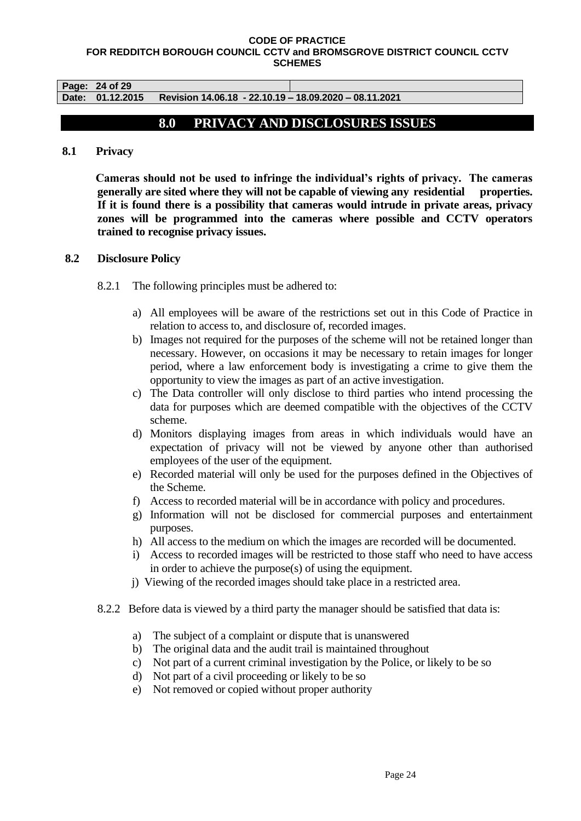**Page: 24 of 29** 

**Date: 01.12.2015 Revision 14.06.18 - 22.10.19 – 18.09.2020 – 08.11.2021**

# **8.0 PRIVACY AND DISCLOSURES ISSUES**

## **8.1 Privacy**

 **Cameras should not be used to infringe the individual's rights of privacy. The cameras generally are sited where they will not be capable of viewing any residential properties. If it is found there is a possibility that cameras would intrude in private areas, privacy zones will be programmed into the cameras where possible and CCTV operators trained to recognise privacy issues.** 

## **8.2 Disclosure Policy**

- 8.2.1 The following principles must be adhered to:
	- a) All employees will be aware of the restrictions set out in this Code of Practice in relation to access to, and disclosure of, recorded images.
	- b) Images not required for the purposes of the scheme will not be retained longer than necessary. However, on occasions it may be necessary to retain images for longer period, where a law enforcement body is investigating a crime to give them the opportunity to view the images as part of an active investigation.
	- c) The Data controller will only disclose to third parties who intend processing the data for purposes which are deemed compatible with the objectives of the CCTV scheme.
	- d) Monitors displaying images from areas in which individuals would have an expectation of privacy will not be viewed by anyone other than authorised employees of the user of the equipment.
	- e) Recorded material will only be used for the purposes defined in the Objectives of the Scheme.
	- f) Access to recorded material will be in accordance with policy and procedures.
	- g) Information will not be disclosed for commercial purposes and entertainment purposes.
	- h) All access to the medium on which the images are recorded will be documented.
	- i) Access to recorded images will be restricted to those staff who need to have access in order to achieve the purpose(s) of using the equipment.
	- j) Viewing of the recorded images should take place in a restricted area.
- 8.2.2Before data is viewed by a third party the manager should be satisfied that data is:
	- a) The subject of a complaint or dispute that is unanswered
	- b) The original data and the audit trail is maintained throughout
	- c) Not part of a current criminal investigation by the Police, or likely to be so
	- d) Not part of a civil proceeding or likely to be so
	- e) Not removed or copied without proper authority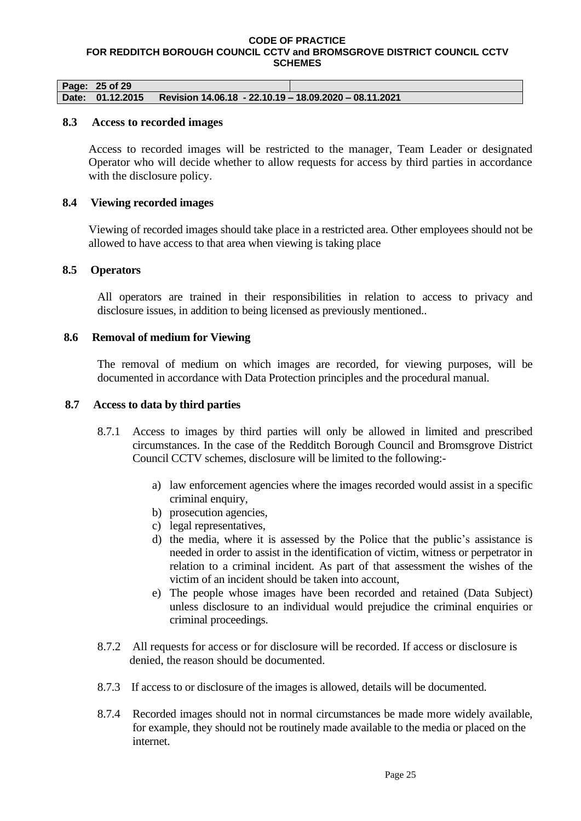| Page: 25 of 29   |                                                        |  |
|------------------|--------------------------------------------------------|--|
| Date: 01.12.2015 | Revision 14.06.18 - 22.10.19 - 18.09.2020 - 08.11.2021 |  |

#### **8.3 Access to recorded images**

Access to recorded images will be restricted to the manager, Team Leader or designated Operator who will decide whether to allow requests for access by third parties in accordance with the disclosure policy.

### **8.4 Viewing recorded images**

Viewing of recorded images should take place in a restricted area. Other employees should not be allowed to have access to that area when viewing is taking place

### **8.5 Operators**

All operators are trained in their responsibilities in relation to access to privacy and disclosure issues, in addition to being licensed as previously mentioned..

### **8.6 Removal of medium for Viewing**

The removal of medium on which images are recorded, for viewing purposes, will be documented in accordance with Data Protection principles and the procedural manual.

## **8.7 Access to data by third parties**

- 8.7.1 Access to images by third parties will only be allowed in limited and prescribed circumstances. In the case of the Redditch Borough Council and Bromsgrove District Council CCTV schemes, disclosure will be limited to the following:
	- a) law enforcement agencies where the images recorded would assist in a specific criminal enquiry,
	- b) prosecution agencies,
	- c) legal representatives,
	- d) the media, where it is assessed by the Police that the public's assistance is needed in order to assist in the identification of victim, witness or perpetrator in relation to a criminal incident. As part of that assessment the wishes of the victim of an incident should be taken into account,
	- e) The people whose images have been recorded and retained (Data Subject) unless disclosure to an individual would prejudice the criminal enquiries or criminal proceedings.
- 8.7.2 All requests for access or for disclosure will be recorded. If access or disclosure is denied, the reason should be documented.
- 8.7.3If access to or disclosure of the images is allowed, details will be documented.
- 8.7.4 Recorded images should not in normal circumstances be made more widely available, for example, they should not be routinely made available to the media or placed on the internet.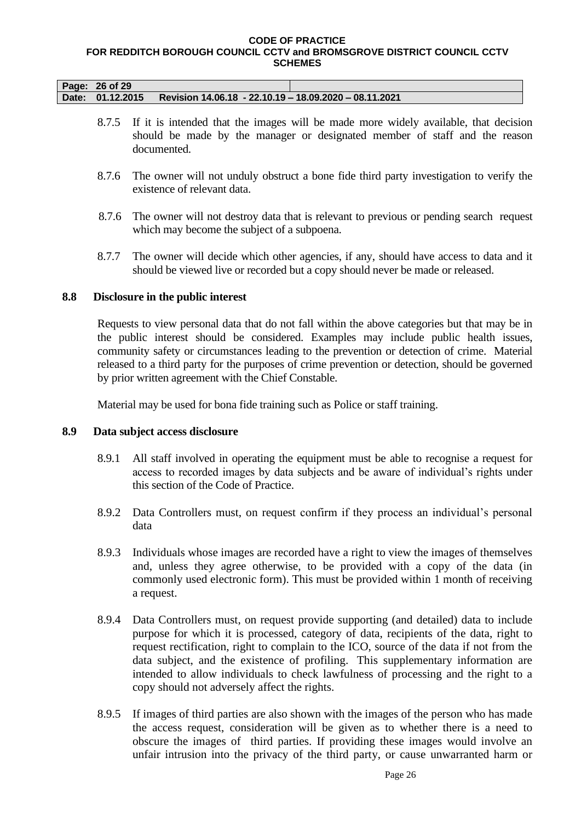| Page: 26 of 29   |                                                        |  |
|------------------|--------------------------------------------------------|--|
| Date: 01.12.2015 | Revision 14.06.18 - 22.10.19 - 18.09.2020 - 08.11.2021 |  |

- 8.7.5 If it is intended that the images will be made more widely available, that decision should be made by the manager or designated member of staff and the reason documented.
- 8.7.6 The owner will not unduly obstruct a bone fide third party investigation to verify the existence of relevant data.
- 8.7.6 The owner will not destroy data that is relevant to previous or pending search request which may become the subject of a subpoena.
- 8.7.7 The owner will decide which other agencies, if any, should have access to data and it should be viewed live or recorded but a copy should never be made or released.

## **8.8 Disclosure in the public interest**

Requests to view personal data that do not fall within the above categories but that may be in the public interest should be considered. Examples may include public health issues, community safety or circumstances leading to the prevention or detection of crime. Material released to a third party for the purposes of crime prevention or detection, should be governed by prior written agreement with the Chief Constable.

Material may be used for bona fide training such as Police or staff training.

### **8.9 Data subject access disclosure**

- 8.9.1 All staff involved in operating the equipment must be able to recognise a request for access to recorded images by data subjects and be aware of individual's rights under this section of the Code of Practice.
- 8.9.2 Data Controllers must, on request confirm if they process an individual's personal data
- 8.9.3 Individuals whose images are recorded have a right to view the images of themselves and, unless they agree otherwise, to be provided with a copy of the data (in commonly used electronic form). This must be provided within 1 month of receiving a request.
- 8.9.4 Data Controllers must, on request provide supporting (and detailed) data to include purpose for which it is processed, category of data, recipients of the data, right to request rectification, right to complain to the ICO, source of the data if not from the data subject, and the existence of profiling. This supplementary information are intended to allow individuals to check lawfulness of processing and the right to a copy should not adversely affect the rights.
- 8.9.5 If images of third parties are also shown with the images of the person who has made the access request, consideration will be given as to whether there is a need to obscure the images of third parties. If providing these images would involve an unfair intrusion into the privacy of the third party, or cause unwarranted harm or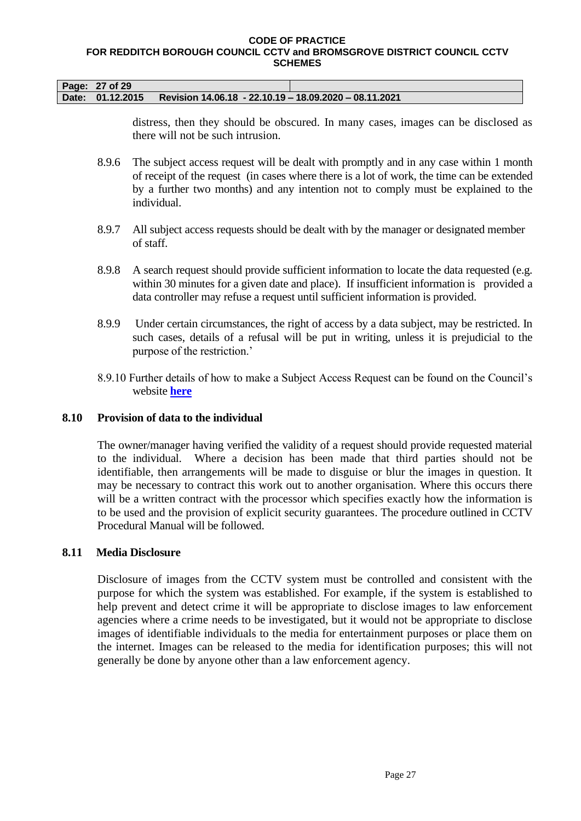| Page: 27 of 29   |                                                        |  |
|------------------|--------------------------------------------------------|--|
| Date: 01.12.2015 | Revision 14.06.18 - 22.10.19 – 18.09.2020 – 08.11.2021 |  |

distress, then they should be obscured. In many cases, images can be disclosed as there will not be such intrusion.

- 8.9.6 The subject access request will be dealt with promptly and in any case within 1 month of receipt of the request (in cases where there is a lot of work, the time can be extended by a further two months) and any intention not to comply must be explained to the individual.
- 8.9.7 All subject access requests should be dealt with by the manager or designated member of staff.
- 8.9.8 A search request should provide sufficient information to locate the data requested (e.g. within 30 minutes for a given date and place). If insufficient information is provided a data controller may refuse a request until sufficient information is provided.
- 8.9.9 Under certain circumstances, the right of access by a data subject, may be restricted. In such cases, details of a refusal will be put in writing, unless it is prejudicial to the purpose of the restriction.'
- 8.9.10 Further details of how to make a Subject Access Request can be found on the Council's website **[here](http://www.redditchbc.gov.uk/council/corporate/your-access-to-information/data-protection-and-information-management/request-your-personal-data.aspx)**

## **8.10 Provision of data to the individual**

The owner/manager having verified the validity of a request should provide requested material to the individual. Where a decision has been made that third parties should not be identifiable, then arrangements will be made to disguise or blur the images in question. It may be necessary to contract this work out to another organisation. Where this occurs there will be a written contract with the processor which specifies exactly how the information is to be used and the provision of explicit security guarantees. The procedure outlined in CCTV Procedural Manual will be followed.

## **8.11 Media Disclosure**

Disclosure of images from the CCTV system must be controlled and consistent with the purpose for which the system was established. For example, if the system is established to help prevent and detect crime it will be appropriate to disclose images to law enforcement agencies where a crime needs to be investigated, but it would not be appropriate to disclose images of identifiable individuals to the media for entertainment purposes or place them on the internet. Images can be released to the media for identification purposes; this will not generally be done by anyone other than a law enforcement agency.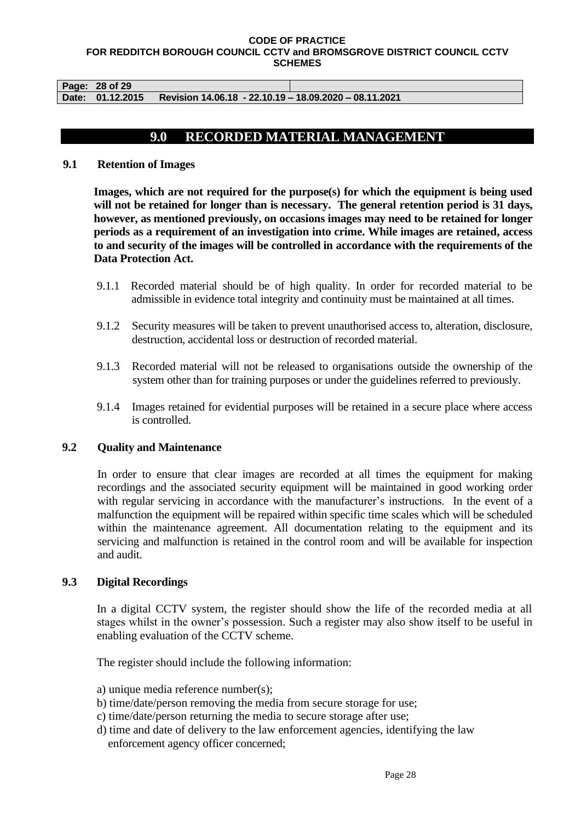**Page: 28 of 29** 

**Date: 01.12.2015 Revision 14.06.18 - 22.10.19 – 18.09.2020 – 08.11.2021**

## **9.0 RECORDED MATERIAL MANAGEMENT**

## **9.1 Retention of Images**

**Images, which are not required for the purpose(s) for which the equipment is being used will not be retained for longer than is necessary. The general retention period is 31 days, however, as mentioned previously, on occasions images may need to be retained for longer periods as a requirement of an investigation into crime. While images are retained, access to and security of the images will be controlled in accordance with the requirements of the Data Protection Act.**

- 9.1.1 Recorded material should be of high quality. In order for recorded material to be admissible in evidence total integrity and continuity must be maintained at all times.
- 9.1.2 Security measures will be taken to prevent unauthorised access to, alteration, disclosure, destruction, accidental loss or destruction of recorded material.
- 9.1.3 Recorded material will not be released to organisations outside the ownership of the system other than for training purposes or under the guidelines referred to previously.
- 9.1.4 Images retained for evidential purposes will be retained in a secure place where access is controlled.

## **9.2 Quality and Maintenance**

In order to ensure that clear images are recorded at all times the equipment for making recordings and the associated security equipment will be maintained in good working order with regular servicing in accordance with the manufacturer's instructions. In the event of a malfunction the equipment will be repaired within specific time scales which will be scheduled within the maintenance agreement. All documentation relating to the equipment and its servicing and malfunction is retained in the control room and will be available for inspection and audit.

## **9.3 Digital Recordings**

In a digital CCTV system, the register should show the life of the recorded media at all stages whilst in the owner's possession. Such a register may also show itself to be useful in enabling evaluation of the CCTV scheme.

The register should include the following information:

- a) unique media reference number(s);
- b) time/date/person removing the media from secure storage for use;
- c) time/date/person returning the media to secure storage after use;
- d) time and date of delivery to the law enforcement agencies, identifying the law enforcement agency officer concerned;